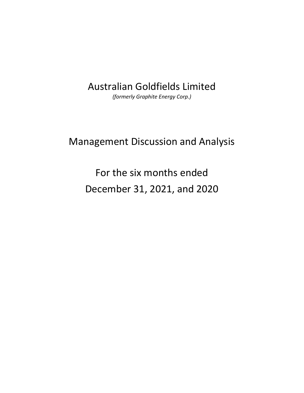# Australian Goldfields Limited

*(formerly Graphite Energy Corp.)* 

# Management Discussion and Analysis

For the six months ended December 31, 2021, and 2020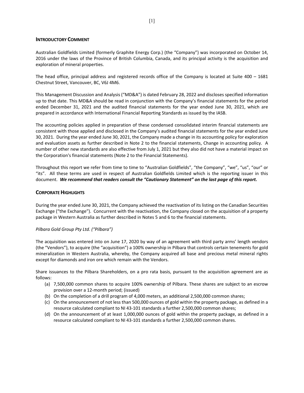## **INTRODUCTORY COMMENT**

Australian Goldfields Limited (formerly Graphite Energy Corp.) (the "Company") was incorporated on October 14, 2016 under the laws of the Province of British Columbia, Canada, and its principal activity is the acquisition and exploration of mineral properties.

The head office, principal address and registered records office of the Company is located at Suite  $400 - 1681$ Chestnut Street, Vancouver, BC, V6J 4M6.

This Management Discussion and Analysis ("MD&A") is dated February 28, 2022 and discloses specified information up to that date. This MD&A should be read in conjunction with the Company's financial statements for the period ended December 31, 2021 and the audited financial statements for the year ended June 30, 2021, which are prepared in accordance with International Financial Reporting Standards as issued by the IASB.

The accounting policies applied in preparation of these condensed consolidated interim financial statements are consistent with those applied and disclosed in the Company's audited financial statements for the year ended June 30, 2021. During the year ended June 30, 2021, the Company made a change in its accounting policy for exploration and evaluation assets as further described in Note 2 to the financial statements, Change in accounting policy. A number of other new standards are also effective from July 1, 2021 but they also did not have a material impact on the Corporation's financial statements (Note 2 to the Financial Statements).

Throughout this report we refer from time to time to "Australian Goldfields", "the Company", "we", "us", "our" or "its". All these terms are used in respect of Australian Goldfields Limited which is the reporting issuer in this document. *We recommend that readers consult the "Cautionary Statement" on the last page of this report.* 

## **CORPORATE HIGHLIGHTS**

During the year ended June 30, 2021, the Company achieved the reactivation of its listing on the Canadian Securities Exchange ("the Exchange"). Concurrent with the reactivation, the Company closed on the acquisition of a property package in Western Australia as further described in Notes 5 and 6 to the financial statements.

# *Pilbara Gold Group Pty Ltd. ("Pilbara")*

The acquisition was entered into on June 17, 2020 by way of an agreement with third party arms' length vendors (the "Vendors"), to acquire (the "acquisition") a 100% ownership in Pilbara that controls certain tenements for gold mineralization in Western Australia, whereby, the Company acquired all base and precious metal mineral rights except for diamonds and iron ore which remain with the Vendors.

Share issuances to the Pilbara Shareholders, on a pro rata basis, pursuant to the acquisition agreement are as follows:

- (a) 7,500,000 common shares to acquire 100% ownership of Pilbara. These shares are subject to an escrow provision over a 12‐month period; (issued)
- (b) On the completion of a drill program of 4,000 meters, an additional 2,500,000 common shares;
- (c) On the announcement of not less than 500,000 ounces of gold within the property package, as defined in a resource calculated compliant to NI 43‐101 standards a further 2,500,000 common shares;
- (d) On the announcement of at least 1,000,000 ounces of gold within the property package, as defined in a resource calculated compliant to NI 43‐101 standards a further 2,500,000 common shares.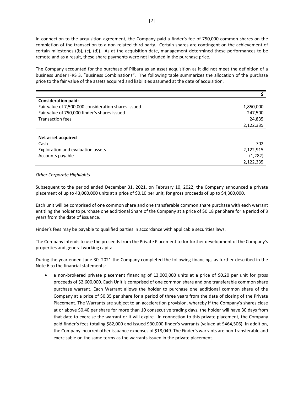In connection to the acquisition agreement, the Company paid a finder's fee of 750,000 common shares on the completion of the transaction to a non-related third party. Certain shares are contingent on the achievement of certain milestones ((b), (c), (d)). As at the acquisition date, management determined these performances to be remote and as a result, these share payments were not included in the purchase price.

The Company accounted for the purchase of Pilbara as an asset acquisition as it did not meet the definition of a business under IFRS 3, "Business Combinations". The following table summarizes the allocation of the purchase price to the fair value of the assets acquired and liabilities assumed at the date of acquisition.

| <b>Consideration paid:</b>                          |           |
|-----------------------------------------------------|-----------|
| Fair value of 7,500,000 consideration shares issued | 1,850,000 |
| Fair value of 750,000 finder's shares issued        | 247,500   |
| <b>Transaction fees</b>                             | 24,835    |
|                                                     | 2,122,335 |
|                                                     |           |
| Net asset acquired                                  |           |
| Cash                                                | 702       |
| Exploration and evaluation assets                   | 2,122,915 |
| Accounts payable                                    | (1,282)   |
|                                                     | 2,122,335 |

#### *Other Corporate Highlights*

Subsequent to the period ended December 31, 2021, on February 10, 2022, the Company announced a private placement of up to 43,000,000 units at a price of \$0.10 per unit, for gross proceeds of up to \$4,300,000.

Each unit will be comprised of one common share and one transferable common share purchase with each warrant entitling the holder to purchase one additional Share of the Company at a price of \$0.18 per Share for a period of 3 years from the date of issuance.

Finder's fees may be payable to qualified parties in accordance with applicable securities laws.

The Company intends to use the proceeds from the Private Placement to for further development of the Company's properties and general working capital.

During the year ended June 30, 2021 the Company completed the following financings as further described in the Note 6 to the financial statements:

• a non-brokered private placement financing of 13,000,000 units at a price of \$0.20 per unit for gross proceeds of \$2,600,000. Each Unit is comprised of one common share and one transferable common share purchase warrant. Each Warrant allows the holder to purchase one additional common share of the Company at a price of \$0.35 per share for a period of three years from the date of closing of the Private Placement. The Warrants are subject to an acceleration provision, whereby if the Company's shares close at or above \$0.40 per share for more than 10 consecutive trading days, the holder will have 30 days from that date to exercise the warrant or it will expire. In connection to this private placement, the Company paid finder's fees totaling \$82,000 and issued 930,000 finder's warrants (valued at \$464,506). In addition, the Company incurred other issuance expenses of \$18,049. The Finder's warrants are non-transferable and exercisable on the same terms as the warrants issued in the private placement.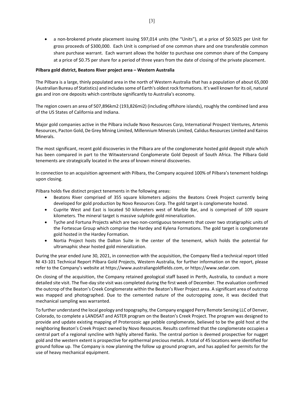■ a non-brokered private placement issuing 597,014 units (the "Units"), at a price of \$0.5025 per Unit for gross proceeds of \$300,000. Each Unit is comprised of one common share and one transferable common share purchase warrant. Each warrant allows the holder to purchase one common share of the Company at a price of \$0.75 per share for a period of three years from the date of closing of the private placement.

## **Pilbara gold district, Beatons River project area – Western Australia**

The Pilbara is a large, thinly populated area in the north of Western Australia that has a population of about 65,000 (Australian Bureau of Statistics) and includes some of Earth's oldest rock formations. It's well known for its oil, natural gas and iron ore deposits which contribute significantly to Australia's economy.

The region covers an area of 507,896km2 (193,826mi2) (including offshore islands), roughly the combined land area of the US States of California and Indiana.

Major gold companies active in the Pilbara include Novo Resources Corp, International Prospect Ventures, Artemis Resources, Pacton Gold, De Grey Mining Limited, Millennium Minerals Limited, Calidus Resources Limited and Kairos Minerals.

The most significant, recent gold discoveries in the Pilbara are of the conglomerate hosted gold deposit style which has been compared in part to the Witwatersrand Conglomerate Gold Deposit of South Africa. The Pilbara Gold tenements are strategically located in the area of known mineral discoveries.

In connection to an acquisition agreement with Pilbara, the Company acquired 100% of Pilbara's tenement holdings upon closing.

Pilbara holds five distinct project tenements in the following areas:

- Beatons River comprised of 355 square kilometers adjoins the Beatons Creek Project currently being developed for gold production by Novo Resources Corp. The gold target is conglomerate hosted.
- Cuprite West and East is located 50 kilometers west of Marble Bar, and is comprised of 109 square kilometers. The mineral target is massive sulphide gold mineralization.
- Tyche and Fortuna Projects which are two non-contiguous tenements that cover two stratigraphic units of the Fortescue Group which comprise the Hardey and Kylena Formations. The gold target is conglomerate gold hosted in the Hardey Formation.
- Nortia Project hosts the Dalton Suite in the center of the tenement, which holds the potential for ultramaphic shear hosted gold mineralization.

During the year ended June 30, 2021, in connection with the acquisition, the Company filed a technical report titled NI 43‐101 Technical Report Pilbara Gold Projects, Western Australia, for further information on the report, please refer to the Company's website at https://www.australiangoldfields.com, or https://www.sedar.com.

On closing of the acquisition, the Company retained geological staff based in Perth, Australia, to conduct a more detailed site visit. The five‐day site visit was completed during the first week of December. The evaluation confirmed the outcrop of the Beaton's Creek Conglomerate within the Beaton's River Project area. A significant area of outcrop was mapped and photographed. Due to the cemented nature of the outcropping zone, it was decided that mechanical sampling was warranted.

To further understand the local geology and topography, the Company engaged Perry Remote Sensing LLC of Denver, Colorado, to complete a LANDSAT and ASTER program on the Beaton's Creek Project. The program was designed to provide and update existing mapping of Proterozoic age pebble conglomerate, believed to be the gold host at the neighboring Beaton's Creek Project owned by Novo Resources. Results confirmed that the conglomerate occupies a central part of a regional syncline with highly altered flanks. The central portion is deemed prospective for nugget gold and the western extent is prospective for epithermal precious metals. A total of 45 locations were identified for ground follow up. The Company is now planning the follow up ground program, and has applied for permits for the use of heavy mechanical equipment.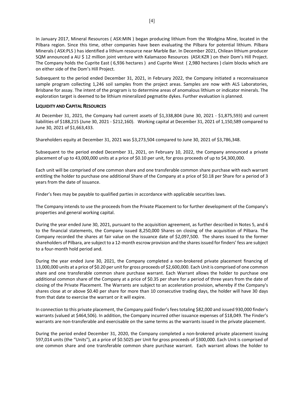In January 2017, Mineral Resources ( ASX:MIN ) began producing lithium from the Wodgina Mine, located in the Pilbara region. Since this time, other companies have been evaluating the Pilbara for potential lithium. Pilbara Minerals ( ASX:PLS ) has identified a lithium resource near Marble Bar. In December 2021, Chilean lithium producer SQM announced a AU \$ 12 million joint venture with Kalamazoo Resources (ASX:KZR ) on their Dom's Hill Project. The Company holds the Cuprite East ( 6,936 hectares ) and Cuprite West ( 2,980 hectares ) claim blocks which are on either side of the Dom's Hill Project.

Subsequent to the period ended December 31, 2021, in February 2022, the Company initiated a reconnaissance sample program collecting 1,246 soil samples from the project areas. Samples are now with ALS Laboratories, Brisbane for assay. The intent of the program is to determine areas of anomalous lithium or indicator minerals. The exploration target is deemed to be lithium mineralized pegmatite dykes. Further evaluation is planned.

# **LIQUIDITY AND CAPITAL RESOURCES**

At December 31, 2021, the Company had current assets of \$1,338,804 (June 30, 2021 ‐ \$1,875,593) and current liabilities of \$188,215 (June 30, 2021 ‐ \$212,160). Working capital at December 31, 2021 of 1,150,589 compared to June 30, 2021 of \$1,663,433.

Shareholders equity at December 31, 2021 was \$3,273,504 compared to June 30, 2021 of \$3,786,348.

Subsequent to the period ended December 31, 2021, on February 10, 2022, the Company announced a private placement of up to 43,000,000 units at a price of \$0.10 per unit, for gross proceeds of up to \$4,300,000.

Each unit will be comprised of one common share and one transferable common share purchase with each warrant entitling the holder to purchase one additional Share of the Company at a price of \$0.18 per Share for a period of 3 years from the date of issuance.

Finder's fees may be payable to qualified parties in accordance with applicable securities laws.

The Company intends to use the proceeds from the Private Placement to for further development of the Company's properties and general working capital.

During the year ended June 30, 2021, pursuant to the acquisition agreement, as further described in Notes 5, and 6 to the financial statements, the Company issued 8,250,000 Shares on closing of the acquisition of Pilbara. The Company recorded the shares at fair value on the issuance date of \$2,097,500. The shares issued to the former shareholders of Pilbara, are subject to a 12‐month escrow provision and the shares issued for finders' fess are subject to a four‐month hold period and.

During the year ended June 30, 2021, the Company completed a non-brokered private placement financing of 13,000,000 units at a price of \$0.20 per unit for gross proceeds of \$2,600,000. Each Unit is comprised of one common share and one transferable common share purchase warrant. Each Warrant allows the holder to purchase one additional common share of the Company at a price of \$0.35 per share for a period of three years from the date of closing of the Private Placement. The Warrants are subject to an acceleration provision, whereby if the Company's shares close at or above \$0.40 per share for more than 10 consecutive trading days, the holder will have 30 days from that date to exercise the warrant or it will expire.

In connection to this private placement, the Company paid finder's fees totaling \$82,000 and issued 930,000 finder's warrants (valued at \$464,506). In addition, the Company incurred other issuance expenses of \$18,049. The Finder's warrants are non-transferable and exercisable on the same terms as the warrants issued in the private placement.

During the period ended December 31, 2020, the Company completed a non‐brokered private placement issuing 597,014 units (the "Units"), at a price of \$0.5025 per Unit for gross proceeds of \$300,000. Each Unit is comprised of one common share and one transferable common share purchase warrant. Each warrant allows the holder to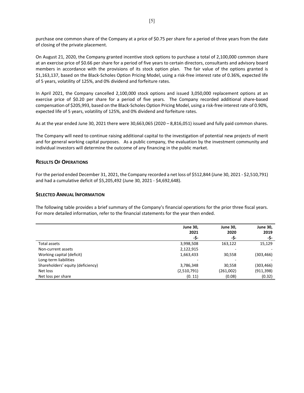purchase one common share of the Company at a price of \$0.75 per share for a period of three years from the date of closing of the private placement.

On August 21, 2020, the Company granted incentive stock options to purchase a total of 2,100,000 common share at an exercise price of \$0.66 per share for a period of five years to certain directors, consultants and advisory board members in accordance with the provisions of its stock option plan. The fair value of the options granted is \$1,163,137, based on the Black‐Scholes Option Pricing Model, using a risk‐free interest rate of 0.36%, expected life of 5 years, volatility of 125%, and 0% dividend and forfeiture rates.

In April 2021, the Company cancelled 2,100,000 stock options and issued 3,050,000 replacement options at an exercise price of \$0.20 per share for a period of five years. The Company recorded additional share-based compensation of \$205,993, based on the Black-Scholes Option Pricing Model, using a risk-free interest rate of 0.90%, expected life of 5 years, volatility of 125%, and 0% dividend and forfeiture rates.

As at the year ended June 30, 2021 there were 30,663,065 (2020 – 8,816,051) issued and fully paid common shares.

The Company will need to continue raising additional capital to the investigation of potential new projects of merit and for general working capital purposes. As a public company, the evaluation by the investment community and individual investors will determine the outcome of any financing in the public market.

# **RESULTS OF OPERATIONS**

For the period ended December 31, 2021, the Company recorded a net loss of \$512,844 (June 30, 2021 ‐ \$2,510,791) and had a cumulative deficit of \$5,205,492 (June 30, 2021 ‐ \$4,692,648).

# **SELECTED ANNUAL INFORMATION**

The following table provides a brief summary of the Company's financial operations for the prior three fiscal years. For more detailed information, refer to the financial statements for the year then ended.

|                                   | <b>June 30,</b> | <b>June 30,</b> | <b>June 30,</b> |
|-----------------------------------|-----------------|-----------------|-----------------|
|                                   | 2021            | 2020            | 2019            |
|                                   | -\$-            | -\$-            | -\$-            |
| Total assets                      | 3,998,508       | 163,122         | 15,129          |
| Non-current assets                | 2,122,915       | -               |                 |
| Working capital (deficit)         | 1,663,433       | 30,558          | (303,466)       |
| Long-term liabilities             |                 |                 |                 |
| Shareholders' equity (deficiency) | 3,786,348       | 30,558          | (303, 466)      |
| Net loss                          | (2,510,791)     | (261,002)       | (911, 398)      |
| Net loss per share                | (0.11)          | (0.08)          | (0.32)          |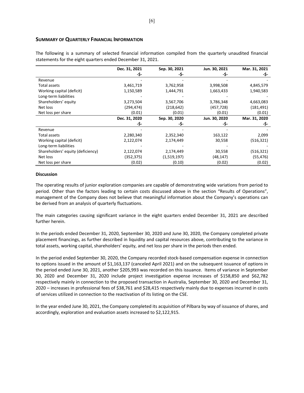## **SUMMARY OF QUARTERLY FINANCIAL INFORMATION**

The following is a summary of selected financial information compiled from the quarterly unaudited financial statements for the eight quarters ended December 31, 2021.

|                                   | Dec. 31, 2021 | Sep. 30, 2021 | Jun. 30, 2021 | Mar. 31, 2021 |
|-----------------------------------|---------------|---------------|---------------|---------------|
|                                   | -\$-          | -\$-          | -S-           | -\$-          |
| Revenue                           |               |               |               |               |
| Total assets                      | 3,461,719     | 3,762,958     | 3,998,508     | 4,845,579     |
| Working capital (deficit)         | 1,150,589     | 1,444,791     | 1,663,433     | 1,940,583     |
| Long-term liabilities             |               |               |               |               |
| Shareholders' equity              | 3,273,504     | 3,567,706     | 3,786,348     | 4,663,083     |
| Net loss                          | (294,474)     | (218, 642)    | (457, 728)    | (181, 491)    |
| Net loss per share                | (0.01)        | (0.01)        | (0.01)        | (0.01)        |
|                                   | Dec. 31, 2020 | Sep. 30, 2020 | Jun. 30, 2020 | Mar. 31, 2020 |
|                                   | -\$-          | -\$-          | -Ş-           | -\$-          |
| Revenue                           |               |               |               |               |
| Total assets                      | 2,280,340     | 2,352,340     | 163,122       | 2,099         |
| Working capital (deficit)         | 2,122,074     | 2,174,449     | 30,558        | (516, 321)    |
| Long-term liabilities             |               |               |               |               |
| Shareholders' equity (deficiency) | 2,122,074     | 2,174,449     | 30,558        | (516, 321)    |
| Net loss                          | (352,375)     | (1,519,197)   | (48,147)      | (55, 476)     |
| Net loss per share                | (0.02)        | (0.10)        | (0.02)        | (0.02)        |

#### **Discussion**

The operating results of junior exploration companies are capable of demonstrating wide variations from period to period. Other than the factors leading to certain costs discussed above in the section "Results of Operations", management of the Company does not believe that meaningful information about the Company's operations can be derived from an analysis of quarterly fluctuations.

The main categories causing significant variance in the eight quarters ended December 31, 2021 are described further herein.

In the periods ended December 31, 2020, September 30, 2020 and June 30, 2020, the Company completed private placement financings, as further described in liquidity and capital resources above, contributing to the variance in total assets, working capital, shareholders' equity, and net loss per share in the periods then ended.

In the period ended September 30, 2020, the Company recorded stock‐based compensation expense in connection to options issued in the amount of \$1,163,137 (canceled April 2021) and on the subsequent issuance of options in the period ended June 30, 2021, another \$205,993 was recorded on this issuance. Items of variance in September 30, 2020 and December 31, 2020 include project investigation expense increases of \$158,850 and \$62,782 respectively mainly in connection to the proposed transaction in Australia, September 30, 2020 and December 31, 2020 – increases in professional fees of \$38,761 and \$28,415 respectively mainly due to expenses incurred in costs of services utilized in connection to the reactivation of its listing on the CSE.

In the year ended June 30, 2021, the Company completed its acquisition of Pilbara by way of issuance of shares, and accordingly, exploration and evaluation assets increased to \$2,122,915.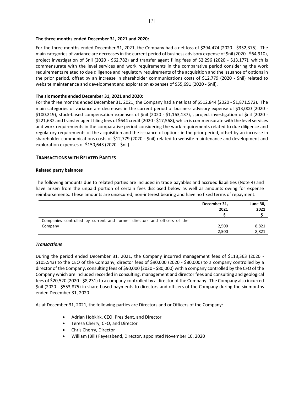#### **The three months ended December 31, 2021 and 2020:**

For the three months ended December 31, 2021, the Company had a net loss of \$294,474 (2020 ‐ \$352,375). The main categories of variance are decreases in the current period of business advisory expense of \$nil (2020 - \$64,910), project investigation of \$nil (2020 - \$62,782) and transfer agent filing fees of \$2,296 (2020 - \$13,177), which is commensurate with the level services and work requirements in the comparative period considering the work requirements related to due diligence and regulatory requirements of the acquisition and the issuance of options in the prior period, offset by an increase in shareholder communications costs of \$12,779 (2020 - \$nil) related to website maintenance and development and exploration expenses of \$55,691 (2020 ‐ \$nil).

## **The six months ended December 31, 2021 and 2020:**

For the three months ended December 31, 2021, the Company had a net loss of \$512,844 (2020 ‐ \$1,871,572). The main categories of variance are decreases in the current period of business advisory expense of \$13,000 (2020 -\$100,219), stock‐based compensation expenses of \$nil (2020 ‐ \$1,163,137), , project investigation of \$nil (2020 ‐ \$221,632 and transfer agent filing fees of \$644 credit (2020 ‐ \$17,568), which is commensurate with the level services and work requirements in the comparative period considering the work requirements related to due diligence and regulatory requirements of the acquisition and the issuance of options in the prior period, offset by an increase in shareholder communications costs of \$12,779 (2020 ‐ \$nil) related to website maintenance and development and exploration expenses of \$150,643 (2020 - \$nil). .

# **TRANSACTIONS WITH RELATED PARTIES**

#### **Related party balances**

The following amounts due to related parties are included in trade payables and accrued liabilities (Note 4) and have arisen from the unpaid portion of certain fees disclosed below as well as amounts owing for expense reimbursements. These amounts are unsecured, non‐interest bearing and have no fixed terms of repayment.

|                                                                          | December 31,<br>2021<br>- S - | <b>June 30,</b><br>2021<br>- S - |
|--------------------------------------------------------------------------|-------------------------------|----------------------------------|
| Companies controlled by current and former directors and officers of the |                               |                                  |
| Company                                                                  | 2,500                         | 8,821                            |
|                                                                          | 2,500                         | 8,821                            |

#### *Transactions*

During the period ended December 31, 2021, the Company incurred management fees of \$113,363 (2020 -\$105,543) to the CEO of the Company, director fees of \$90,000 (2020 ‐ \$80,000) to a company controlled by a director of the Company, consulting fees of \$90,000 (2020 ‐ \$80,000) with a company controlled by the CFO of the Company which are included recorded in consulting, management and director fees and consulting and geological fees of \$20,520 (2020 ‐ \$8,231) to a company controlled by a director of the Company. The Company also incurred \$nil (2020 ‐ \$553,875) in share‐based payments to directors and officers of the Company during the six months ended December 31, 2020.

As at December 31, 2021, the following parties are Directors and or Officers of the Company:

- Adrian Hobkirk, CEO, President, and Director
- Teresa Cherry, CFO, and Director
- Chris Cherry, Director
- William (Bill) Feyerabend, Director, appointed November 10, 2020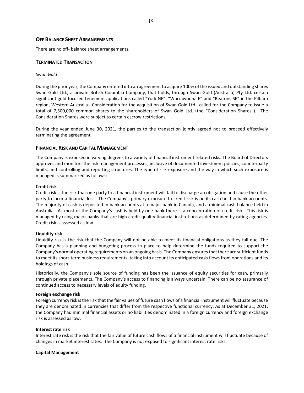## **OFF BALANCE SHEET ARRANGEMENTS**

There are no off‐ balance sheet arrangements.

### **TERMINATED TRANSACTION**

#### *Swan Gold*

During the prior year, the Company entered into an agreement to acquire 100% of the issued and outstanding shares Swan Gold Ltd., a private British Columbia Company, that holds, through Swan Gold (Australia) Pty Ltd. certain significant gold focused tenement applications called "York NE", "Warrawoona E" and "Beatons SE" in the Pilbara region, Western Australia. Consideration for the acquisition of Swan Gold Ltd., called for the Company to issue a total of 7,500,000 common shares to the shareholders of Swan Gold Ltd. (the "Consideration Shares"). The Consideration Shares were subject to certain escrow restrictions.

During the year ended June 30, 2021, the parties to the transaction jointly agreed not to proceed effectively terminating the agreement.

#### **FINANCIAL RISK AND CAPITAL MANAGEMENT**

The Company is exposed in varying degrees to a variety of financial instrument related risks. The Board of Directors approves and monitors the risk management processes, inclusive of documented investment policies, counterparty limits, and controlling and reporting structures. The type of risk exposure and the way in which such exposure is managed is summarized as follows:

#### **Credit risk**

Credit risk is the risk that one party to a financial instrument will fail to discharge an obligation and cause the other party to incur a financial loss. The Company's primary exposure to credit risk is on its cash held in bank accounts. The majority of cash is deposited in bank accounts at a major bank in Canada, and a minimal cash balance held in Australia. As most of the Company's cash is held by one bank there is a concentration of credit risk. This risk is managed by using major banks that are high credit quality financial institutions as determined by rating agencies. Credit risk is assessed as low.

#### **Liquidity risk**

Liquidity risk is the risk that the Company will not be able to meet its financial obligations as they fall due. The Company has a planning and budgeting process in place to help determine the funds required to support the Company's normal operating requirements on an ongoing basis. The Company ensures that there are sufficient funds to meet its short-term business requirements, taking into account its anticipated cash flows from operations and its holdings of cash.

Historically, the Company's sole source of funding has been the issuance of equity securities for cash, primarily through private placements. The Company's access to financing is always uncertain. There can be no assurance of continued access to necessary levels of equity funding.

#### **Foreign exchange risk**

Foreign currency risk is the risk that the fair values of future cash flows of a financial instrument will fluctuate because they are denominated in currencies that differ from the respective functional currency. As at December 31, 2021, the Company had minimal financial assets or no liabilities denominated in a foreign currency and foreign exchange risk is assessed as low.

#### **Interest rate risk**

Interest rate risk is the risk that the fair value of future cash flows of a financial instrument will fluctuate because of changes in market interest rates. The Company is not exposed to significant interest rate risks.

#### **Capital Management**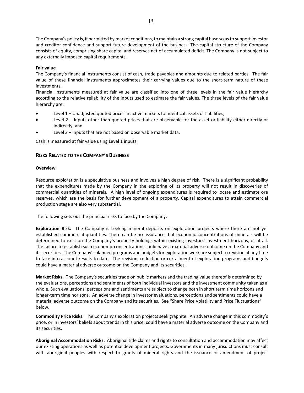The Company's policy is, if permitted by market conditions, to maintain a strong capital base so as to support investor and creditor confidence and support future development of the business. The capital structure of the Company consists of equity, comprising share capital and reserves net of accumulated deficit. The Company is not subject to any externally imposed capital requirements.

## **Fair value**

The Company's financial instruments consist of cash, trade payables and amounts due to related parties. The fair value of these financial instruments approximates their carrying values due to the short-term nature of these investments.

Financial instruments measured at fair value are classified into one of three levels in the fair value hierarchy according to the relative reliability of the inputs used to estimate the fair values. The three levels of the fair value hierarchy are:

- Level 1 Unadjusted quoted prices in active markets for identical assets or liabilities;
- Level 2 Inputs other than quoted prices that are observable for the asset or liability either directly or indirectly; and
- Level 3 Inputs that are not based on observable market data.

Cash is measured at fair value using Level 1 inputs.

# **RISKS RELATED TO THE COMPANY'S BUSINESS**

## **Overview**

Resource exploration is a speculative business and involves a high degree of risk. There is a significant probability that the expenditures made by the Company in the exploring of its property will not result in discoveries of commercial quantities of minerals. A high level of ongoing expenditures is required to locate and estimate ore reserves, which are the basis for further development of a property. Capital expenditures to attain commercial production stage are also very substantial.

The following sets out the principal risks to face by the Company.

Exploration Risk. The Company is seeking mineral deposits on exploration projects where there are not yet established commercial quantities. There can be no assurance that economic concentrations of minerals will be determined to exist on the Company's property holdings within existing investors' investment horizons, or at all. The failure to establish such economic concentrations could have a material adverse outcome on the Company and its securities. The Company's planned programs and budgets for exploration work are subject to revision at any time to take into account results to date. The revision, reduction or curtailment of exploration programs and budgets could have a material adverse outcome on the Company and its securities.

**Market Risks.** The Company's securities trade on public markets and the trading value thereof is determined by the evaluations, perceptions and sentiments of both individual investors and the investment community taken as a whole. Such evaluations, perceptions and sentiments are subject to change both in short term time horizons and longer‐term time horizons. An adverse change in investor evaluations, perceptions and sentiments could have a material adverse outcome on the Company and its securities. See "Share Price Volatility and Price Fluctuations" below.

**Commodity Price Risks.** The Company's exploration projects seek graphite. An adverse change in this commodity's price, or in investors' beliefs about trends in this price, could have a material adverse outcome on the Company and its securities.

**Aboriginal Accommodation Risks.** Aboriginal title claims and rights to consultation and accommodation may affect our existing operations as well as potential development projects. Governments in many jurisdictions must consult with aboriginal peoples with respect to grants of mineral rights and the issuance or amendment of project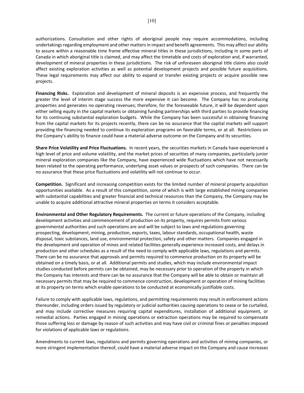authorizations. Consultation and other rights of aboriginal people may require accommodations, including undertakings regarding employment and other matters in impact and benefit agreements. This may affect our ability to assure within a reasonable time frame effective mineral titles in these jurisdictions, including in some parts of Canada in which aboriginal title is claimed, and may affect the timetable and costs of exploration and, if warranted, development of mineral properties in these jurisdictions. The risk of unforeseen aboriginal title claims also could affect existing exploration activities as well as potential development projects and possible future acquisitions. These legal requirements may affect our ability to expand or transfer existing projects or acquire possible new projects.

**Financing Risks.** Exploration and development of mineral deposits is an expensive process, and frequently the greater the level of interim stage success the more expensive it can become. The Company has no producing properties and generates no operating revenues; therefore, for the foreseeable future, it will be dependent upon either selling equity in the capital markets or obtaining funding partnerships with third parties to provide financing for its continuing substantial exploration budgets. While the Company has been successful in obtaining financing from the capital markets for its projects recently, there can be no assurance that the capital markets will support providing the financing needed to continue its exploration programs on favorable terms, or at all. Restrictions on the Company's ability to finance could have a material adverse outcome on the Company and its securities.

**Share Price Volatility and Price Fluctuations.** In recent years, the securities markets in Canada have experienced a high level of price and volume volatility, and the market prices of securities of many companies, particularly junior mineral exploration companies like the Company, have experienced wide fluctuations which have not necessarily been related to the operating performance, underlying asset values or prospects of such companies. There can be no assurance that these price fluctuations and volatility will not continue to occur.

**Competition.** Significant and increasing competition exists for the limited number of mineral property acquisition opportunities available. As a result of this competition, some of which is with large established mining companies with substantial capabilities and greater financial and technical resources than the Company, the Company may be unable to acquire additional attractive mineral properties on terms it considers acceptable.

**Environmental and Other Regulatory Requirements.** The current or future operations of the Company, including development activities and commencement of production on its property, requires permits from various governmental authorities and such operations are and will be subject to laws and regulations governing prospecting, development, mining, production, exports, taxes, labour standards, occupational health, waste disposal, toxic substances, land use, environmental protection, safety and other matters. Companies engaged in the development and operation of mines and related facilities generally experience increased costs, and delays in production and other schedules as a result of the need to comply with applicable laws, regulations and permits. There can be no assurance that approvals and permits required to commence production on its property will be obtained on a timely basis, or at all. Additional permits and studies, which may include environmental impact studies conducted before permits can be obtained, may be necessary prior to operation of the property in which the Company has interests and there can be no assurance that the Company will be able to obtain or maintain all necessary permits that may be required to commence construction, development or operation of mining facilities at its property on terms which enable operations to be conducted at economically justifiable costs.

Failure to comply with applicable laws, regulations, and permitting requirements may result in enforcement actions thereunder, including orders issued by regulatory or judicial authorities causing operations to cease or be curtailed, and may include corrective measures requiring capital expenditures, installation of additional equipment, or remedial actions. Parties engaged in mining operations or extraction operations may be required to compensate those suffering loss or damage by reason of such activities and may have civil or criminal fines or penalties imposed for violations of applicable laws or regulations.

Amendments to current laws, regulations and permits governing operations and activities of mining companies, or more stringent implementation thereof, could have a material adverse impact on the Company and cause increases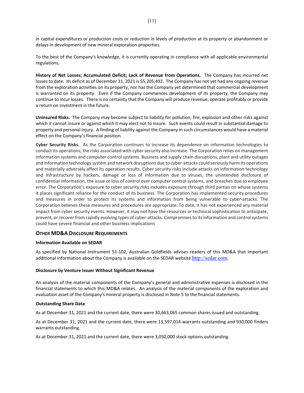in capital expenditures or production costs or reduction in levels of production at its property or abandonment or delays in development of new mineral exploration properties.

To the best of the Company's knowledge, it is currently operating in compliance with all applicable environmental regulations.

**History of Net Losses; Accumulated Deficit; Lack of Revenue from Operations.** The Company has incurred net losses to date. Its deficit as of December 31, 2021 is \$5,205,492. The Company has not yet had any ongoing revenue from the exploration activities on its property, nor has the Company yet determined that commercial development is warranted on its property. Even if the Company commences development of its property, the Company may continue to incur losses. There is no certainty that the Company will produce revenue, operate profitably or provide a return on investment in the future.

**Uninsured Risks.** The Company may become subject to liability for pollution, fire, explosion and other risks against which it cannot insure or against which it may elect not to insure. Such events could result in substantial damage to property and personal injury. A finding of liability against the Company in such circumstances would have a material effect on the Company's financial position.

**Cyber Security Risks.** As the Corporation continues to increase its dependence on information technologies to conduct its operations, the risks associated with cyber security also increase. The Corporation relies on management information systems and computer control systems. Business and supply chain disruptions, plant and utility outages and information technology system and network disruptions due to cyber-attacks could seriously harm its operations and materially adversely affect its operation results, Cyber security risks include attacks on information technology and infrastructure by hackers, damage or loss of information due to viruses, the unintended disclosure of confidential information, the issue or loss of control over computer control systems, and breaches due to employee error. The Corporation's exposure to cyber security risks includes exposure through third parties on whose systems it places significant reliance for the conduct of its business. The Corporation has implemented security procedures and measures in order to protect its systems and information from being vulnerable to cyber-attacks. The Corporation believes these measures and procedures are appropriate. To date, it has not experienced any material impact from cyber security events. However, it may not have the resources or technical sophistication to anticipate, prevent, or recover from rapidly evolving types of cyber-attacks. Compromises to its information and control systems could have severe financial and other business implications

# **OTHER MD&A DISCLOSURE REQUIREMENTS**

#### **Information Available on SEDAR**

As specified by National Instrument 51‐102, Australian Goldfields advises readers of this MD&A that important additional information about the Company is available on the SEDAR website http://sedar.com.

#### **Disclosure by Venture Issuer Without Significant Revenue**

An analysis of the material components of the Company's general and administrative expenses is disclosed in the financial statements to which this MD&A relates. An analysis of the material components of the exploration and evaluation asset of the Company's mineral property is disclosed in Note 5 to the financial statements.

#### **Outstanding Share Data**

As at December 31, 2021 and the current date, there were 30,663,065 common shares issued and outstanding.

As at December 31, 2021 and the current date, there were 13,597,014 warrants outstanding and 930,000 finders warrants outstanding.

As at December 31, 2021 and the current date, there were 3,050,000 stock options outstanding.